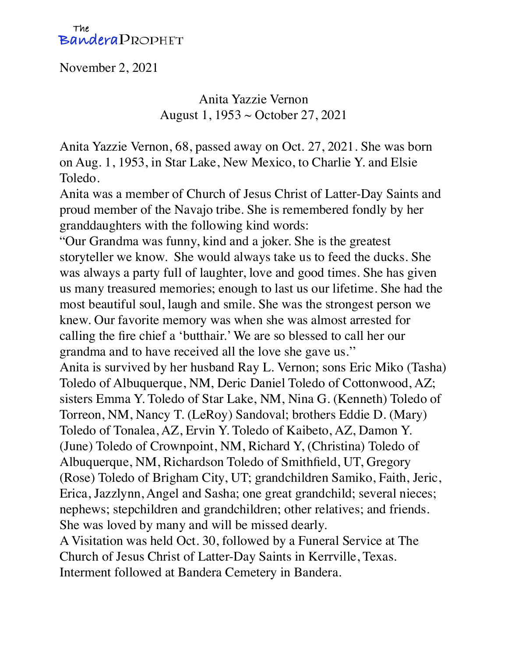## The Bandera PROPHET

November 2, 2021

Anita Yazzie Vernon August 1, 1953 ~ October 27, 2021

Anita Yazzie Vernon, 68, passed away on Oct. 27, 2021. She was born on Aug. 1, 1953, in Star Lake, New Mexico, to Charlie Y. and Elsie Toledo.

Anita was a member of Church of Jesus Christ of Latter-Day Saints and proud member of the Navajo tribe. She is remembered fondly by her granddaughters with the following kind words:

"Our Grandma was funny, kind and a joker. She is the greatest storyteller we know. She would always take us to feed the ducks. She was always a party full of laughter, love and good times. She has given us many treasured memories; enough to last us our lifetime. She had the most beautiful soul, laugh and smile. She was the strongest person we knew. Our favorite memory was when she was almost arrested for calling the fire chief a 'butthair.' We are so blessed to call her our grandma and to have received all the love she gave us.''

Anita is survived by her husband Ray L. Vernon; sons Eric Miko (Tasha) Toledo of Albuquerque, NM, Deric Daniel Toledo of Cottonwood, AZ; sisters Emma Y. Toledo of Star Lake, NM, Nina G. (Kenneth) Toledo of Torreon, NM, Nancy T. (LeRoy) Sandoval; brothers Eddie D. (Mary) Toledo of Tonalea, AZ, Ervin Y. Toledo of Kaibeto, AZ, Damon Y. (June) Toledo of Crownpoint, NM, Richard Y, (Christina) Toledo of Albuquerque, NM, Richardson Toledo of Smithfield, UT, Gregory (Rose) Toledo of Brigham City, UT; grandchildren Samiko, Faith, Jeric, Erica, Jazzlynn, Angel and Sasha; one great grandchild; several nieces; nephews; stepchildren and grandchildren; other relatives; and friends. She was loved by many and will be missed dearly.

A Visitation was held Oct. 30, followed by a Funeral Service at The Church of Jesus Christ of Latter-Day Saints in Kerrville, Texas. Interment followed at Bandera Cemetery in Bandera.